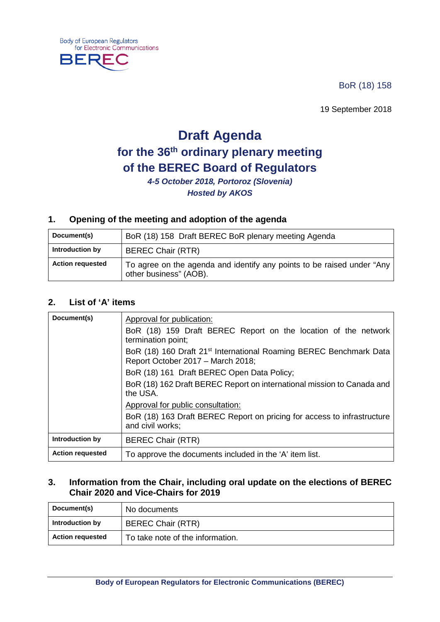BoR (18) 158

19 September 2018

# **Draft Agenda for the 36th ordinary plenary meeting of the BEREC Board of Regulators**

*4-5 October 2018, Portoroz (Slovenia) Hosted by AKOS*

#### **1. Opening of the meeting and adoption of the agenda**

| Document(s)             | BoR (18) 158 Draft BEREC BoR plenary meeting Agenda                                              |
|-------------------------|--------------------------------------------------------------------------------------------------|
| Introduction by         | <b>BEREC Chair (RTR)</b>                                                                         |
| <b>Action requested</b> | To agree on the agenda and identify any points to be raised under "Any<br>other business" (AOB). |

#### **2. List of 'A' items**

**Body of European Regulators** 

₹F ۰

BEF

for Electronic Communications

| Document(s)             | Approval for publication:<br>BoR (18) 159 Draft BEREC Report on the location of the network<br>termination point;   |
|-------------------------|---------------------------------------------------------------------------------------------------------------------|
|                         | BoR (18) 160 Draft 21 <sup>st</sup> International Roaming BEREC Benchmark Data<br>Report October 2017 - March 2018; |
|                         | BoR (18) 161 Draft BEREC Open Data Policy;                                                                          |
|                         | BoR (18) 162 Draft BEREC Report on international mission to Canada and<br>the USA.                                  |
|                         | Approval for public consultation:                                                                                   |
|                         | BoR (18) 163 Draft BEREC Report on pricing for access to infrastructure<br>and civil works;                         |
| Introduction by         | <b>BEREC Chair (RTR)</b>                                                                                            |
| <b>Action requested</b> | To approve the documents included in the 'A' item list.                                                             |

#### **3. Information from the Chair, including oral update on the elections of BEREC Chair 2020 and Vice-Chairs for 2019**

| Document(s)             | No documents                     |
|-------------------------|----------------------------------|
| Introduction by         | <b>BEREC Chair (RTR)</b>         |
| <b>Action requested</b> | To take note of the information. |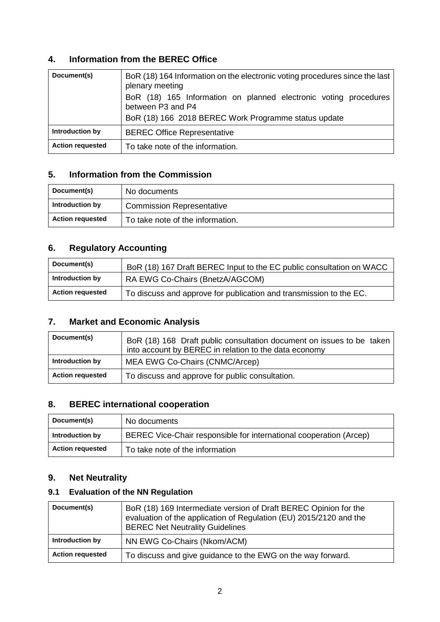#### **4. Information from the BEREC Office**

| Document(s)             | BoR (18) 164 Information on the electronic voting procedures since the last<br>plenary meeting<br>BoR (18) 165 Information on planned electronic voting procedures<br>between P3 and P4<br>BoR (18) 166 2018 BEREC Work Programme status update |
|-------------------------|-------------------------------------------------------------------------------------------------------------------------------------------------------------------------------------------------------------------------------------------------|
| Introduction by         | <b>BEREC Office Representative</b>                                                                                                                                                                                                              |
| <b>Action requested</b> | To take note of the information.                                                                                                                                                                                                                |

#### **5. Information from the Commission**

| Document(s)             | No documents                     |
|-------------------------|----------------------------------|
| Introduction by         | <b>Commission Representative</b> |
| <b>Action requested</b> | To take note of the information. |

# **6. Regulatory Accounting**

| Document(s)             | BoR (18) 167 Draft BEREC Input to the EC public consultation on WACC |
|-------------------------|----------------------------------------------------------------------|
| Introduction by         | RA EWG Co-Chairs (BnetzA/AGCOM)                                      |
| <b>Action requested</b> | To discuss and approve for publication and transmission to the EC.   |

# **7. Market and Economic Analysis**

| Document(s)             | BoR (18) 168 Draft public consultation document on issues to be taken<br>into account by BEREC in relation to the data economy |
|-------------------------|--------------------------------------------------------------------------------------------------------------------------------|
| Introduction by         | MEA EWG Co-Chairs (CNMC/Arcep)                                                                                                 |
| <b>Action requested</b> | To discuss and approve for public consultation.                                                                                |

# **8. BEREC international cooperation**

| Document(s)             | No documents                                                       |
|-------------------------|--------------------------------------------------------------------|
| Introduction by         | BEREC Vice-Chair responsible for international cooperation (Arcep) |
| <b>Action requested</b> | To take note of the information                                    |

#### **9. Net Neutrality**

### **9.1 Evaluation of the NN Regulation**

| Document(s)             | BoR (18) 169 Intermediate version of Draft BEREC Opinion for the<br>evaluation of the application of Regulation (EU) 2015/2120 and the<br><b>BEREC Net Neutrality Guidelines</b> |
|-------------------------|----------------------------------------------------------------------------------------------------------------------------------------------------------------------------------|
| Introduction by         | NN EWG Co-Chairs (Nkom/ACM)                                                                                                                                                      |
| <b>Action requested</b> | To discuss and give guidance to the EWG on the way forward.                                                                                                                      |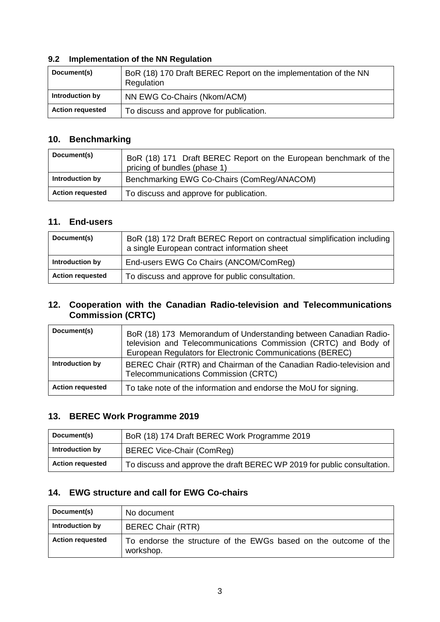#### **9.2 Implementation of the NN Regulation**

| Document(s)             | BoR (18) 170 Draft BEREC Report on the implementation of the NN<br>Regulation |
|-------------------------|-------------------------------------------------------------------------------|
| Introduction by         | NN EWG Co-Chairs (Nkom/ACM)                                                   |
| <b>Action requested</b> | To discuss and approve for publication.                                       |

#### **10. Benchmarking**

| Document(s)             | BoR (18) 171 Draft BEREC Report on the European benchmark of the<br>pricing of bundles (phase 1) |
|-------------------------|--------------------------------------------------------------------------------------------------|
| Introduction by         | Benchmarking EWG Co-Chairs (ComReg/ANACOM)                                                       |
| <b>Action requested</b> | To discuss and approve for publication.                                                          |

#### **11. End-users**

| Document(s)             | BoR (18) 172 Draft BEREC Report on contractual simplification including<br>a single European contract information sheet |
|-------------------------|-------------------------------------------------------------------------------------------------------------------------|
| Introduction by         | End-users EWG Co Chairs (ANCOM/ComReg)                                                                                  |
| <b>Action requested</b> | To discuss and approve for public consultation.                                                                         |

#### **12. Cooperation with the Canadian Radio-television and Telecommunications Commission (CRTC)**

| Document(s)             | BoR (18) 173 Memorandum of Understanding between Canadian Radio-<br>television and Telecommunications Commission (CRTC) and Body of<br>European Regulators for Electronic Communications (BEREC) |
|-------------------------|--------------------------------------------------------------------------------------------------------------------------------------------------------------------------------------------------|
| Introduction by         | BEREC Chair (RTR) and Chairman of the Canadian Radio-television and<br>Telecommunications Commission (CRTC)                                                                                      |
| <b>Action requested</b> | To take note of the information and endorse the MoU for signing.                                                                                                                                 |

#### **13. BEREC Work Programme 2019**

| Document(s)             | BoR (18) 174 Draft BEREC Work Programme 2019                            |
|-------------------------|-------------------------------------------------------------------------|
| Introduction by         | BEREC Vice-Chair (ComReg)                                               |
| <b>Action requested</b> | To discuss and approve the draft BEREC WP 2019 for public consultation. |

#### **14. EWG structure and call for EWG Co-chairs**

| Document(s)             | No document                                                                   |
|-------------------------|-------------------------------------------------------------------------------|
| Introduction by         | <b>BEREC Chair (RTR)</b>                                                      |
| <b>Action requested</b> | To endorse the structure of the EWGs based on the outcome of the<br>workshop. |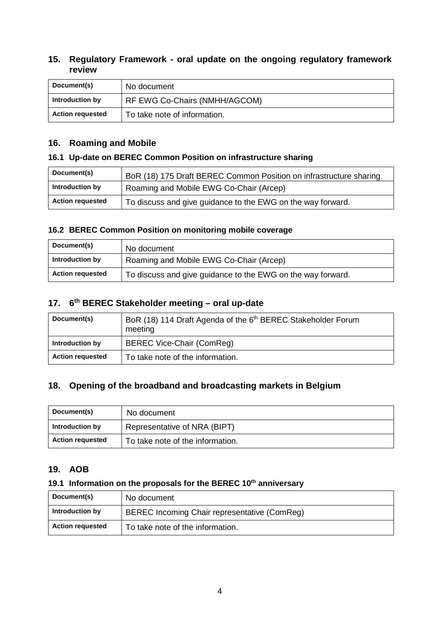#### **15. Regulatory Framework - oral update on the ongoing regulatory framework review**

| Document(s)             | No document                   |
|-------------------------|-------------------------------|
| Introduction by         | RF EWG Co-Chairs (NMHH/AGCOM) |
| <b>Action requested</b> | To take note of information.  |

#### **16. Roaming and Mobile**

#### **16.1 Up-date on BEREC Common Position on infrastructure sharing**

| Document(s)             | BoR (18) 175 Draft BEREC Common Position on infrastructure sharing |
|-------------------------|--------------------------------------------------------------------|
| Introduction by         | Roaming and Mobile EWG Co-Chair (Arcep)                            |
| <b>Action requested</b> | To discuss and give guidance to the EWG on the way forward.        |

#### **16.2 BEREC Common Position on monitoring mobile coverage**

| Document(s)             | No document                                                 |
|-------------------------|-------------------------------------------------------------|
| Introduction by         | Roaming and Mobile EWG Co-Chair (Arcep)                     |
| <b>Action requested</b> | To discuss and give guidance to the EWG on the way forward. |

# **17. 6th BEREC Stakeholder meeting – oral up-date**

| Document(s)             | BoR (18) 114 Draft Agenda of the 6 <sup>th</sup> BEREC Stakeholder Forum<br>meeting |
|-------------------------|-------------------------------------------------------------------------------------|
| Introduction by         | BEREC Vice-Chair (ComReg)                                                           |
| <b>Action requested</b> | To take note of the information.                                                    |

#### **18. Opening of the broadband and broadcasting markets in Belgium**

| Document(s)             | No document                      |
|-------------------------|----------------------------------|
| Introduction by         | Representative of NRA (BIPT)     |
| <b>Action requested</b> | To take note of the information. |

#### **19. AOB**

#### 19.1 Information on the proposals for the BEREC 10<sup>th</sup> anniversary

| Document(s)             | No document                                  |
|-------------------------|----------------------------------------------|
| Introduction by         | BEREC Incoming Chair representative (ComReg) |
| <b>Action requested</b> | To take note of the information.             |